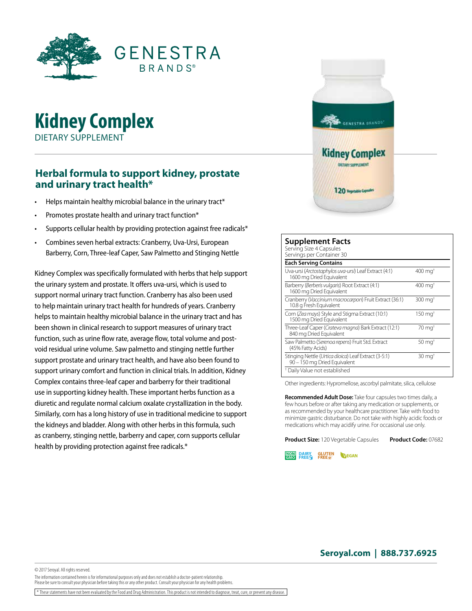

## **Kidney Complex** DIETARY SUPPLEMENT

## **Herbal formula to support kidney, prostate and urinary tract health\***

- Helps maintain healthy microbial balance in the urinary tract\*
- Promotes prostate health and urinary tract function\*
- Supports cellular health by providing protection against free radicals\*
- Combines seven herbal extracts: Cranberry, Uva-Ursi, European Barberry, Corn, Three-leaf Caper, Saw Palmetto and Stinging Nettle

Kidney Complex was specifically formulated with herbs that help support the urinary system and prostate. It offers uva-ursi, which is used to support normal urinary tract function. Cranberry has also been used to help maintain urinary tract health for hundreds of years. Cranberry helps to maintain healthy microbial balance in the urinary tract and has been shown in clinical research to support measures of urinary tract function, such as urine flow rate, average flow, total volume and postvoid residual urine volume. Saw palmetto and stinging nettle further support prostate and urinary tract health, and have also been found to support urinary comfort and function in clinical trials. In addition, Kidney Complex contains three-leaf caper and barberry for their traditional use in supporting kidney health. These important herbs function as a diuretic and regulate normal calcium oxalate crystallization in the body. Similarly, corn has a long history of use in traditional medicine to support the kidneys and bladder. Along with other herbs in this formula, such as cranberry, stinging nettle, barberry and caper, corn supports cellular health by providing protection against free radicals.\*



| <b>Supplement Facts</b><br>Serving Size 4 Capsules<br>Servings per Container 30      |                    |  |
|--------------------------------------------------------------------------------------|--------------------|--|
| <b>Each Serving Contains</b>                                                         |                    |  |
| Uva-ursi (Arctostaphylos uva-ursi) Leaf Extract (4:1)<br>1600 mg Dried Equivalent    | $400 \text{ mg}^+$ |  |
| Barberry (Berberis vulgaris) Root Extract (4:1)<br>1600 mg Dried Equivalent          | $400 \text{ mg}^+$ |  |
| Cranberry (Vaccinium macrocarpon) Fruit Extract (36:1)<br>10.8 g Fresh Equivalent    | $300 \text{ mg}^+$ |  |
| Corn (Zea mays) Style and Stigma Extract (10:1)<br>1500 mg Dried Equivalent          | $150 \text{ mg}^+$ |  |
| Three-Leaf Caper (Crateva magna) Bark Extract (12:1)<br>840 mg Dried Equivalent      | $70 \text{ mg}^+$  |  |
| Saw Palmetto (Serenoa repens) Fruit Std. Extract<br>(45% Fatty Acids)                | $50 \text{ mg}^+$  |  |
| Stinging Nettle (Urtica dioica) Leaf Extract (3-5:1)<br>90 - 150 mg Dried Equivalent | $30 \text{ mg}^+$  |  |
| <sup>†</sup> Daily Value not established                                             |                    |  |

Other ingredients: Hypromellose, ascorbyl palmitate, silica, cellulose

**Recommended Adult Dose:** Take four capsules two times daily, a few hours before or after taking any medication or supplements, or as recommended by your healthcare practitioner. Take with food to minimize gastric disturbance. Do not take with highly acidic foods or medications which may acidify urine. For occasional use only.

**Product Size:** 120 Vegetable Capsules **Product Code:** 07682

**GLUTEN**<br>FREE ® **NON PAIRY WEGAN** 

**Seroyal.com | 888.737.6925**

The information contained herein is for informational purposes only and does not establish a doctor-patient relationship. Please be sure to consult your physician before taking this or any other product. Consult your physician for any health problems.

\* These statements have not been evaluated by the Food and Drug Administration. This product is not intended to diagnose, treat, cure, or prevent any disease.